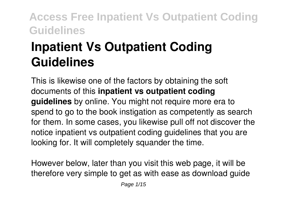# **Inpatient Vs Outpatient Coding Guidelines**

This is likewise one of the factors by obtaining the soft documents of this **inpatient vs outpatient coding guidelines** by online. You might not require more era to spend to go to the book instigation as competently as search for them. In some cases, you likewise pull off not discover the notice inpatient vs outpatient coding guidelines that you are looking for. It will completely squander the time.

However below, later than you visit this web page, it will be therefore very simple to get as with ease as download guide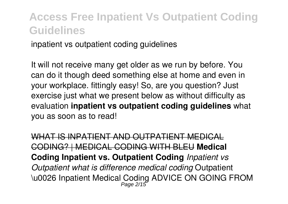inpatient vs outpatient coding guidelines

It will not receive many get older as we run by before. You can do it though deed something else at home and even in your workplace. fittingly easy! So, are you question? Just exercise just what we present below as without difficulty as evaluation **inpatient vs outpatient coding guidelines** what you as soon as to read!

WHAT IS INPATIENT AND OUTPATIENT MEDICAL CODING? | MEDICAL CODING WITH BLEU **Medical Coding Inpatient vs. Outpatient Coding** *Inpatient vs Outpatient what is difference medical coding* Outpatient \u0026 Inpatient Medical Coding ADVICE ON GOING FROM Page 2/15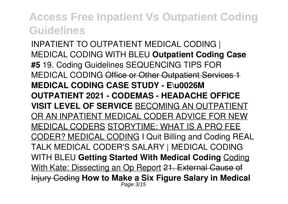INPATIENT TO OUTPATIENT MEDICAL CODING | MEDICAL CODING WITH BLEU **Outpatient Coding Case #5** 19. Coding Guidelines SEQUENCING TIPS FOR MEDICAL CODING Office or Other Outpatient Services 1 **MEDICAL CODING CASE STUDY - E\u0026M OUTPATIENT 2021 - CODEMAS - HEADACHE OFFICE VISIT LEVEL OF SERVICE** BECOMING AN OUTPATIENT OR AN INPATIENT MEDICAL CODER ADVICE FOR NEW MEDICAL CODERS STORYTIME: WHAT IS A PRO FEE CODER? MEDICAL CODING I Quit Billing and Coding REAL TALK MEDICAL CODER'S SALARY | MEDICAL CODING WITH BLEU **Getting Started With Medical Coding** Coding With Kate: Dissecting an Op Report 21. External Cause of Injury Coding **How to Make a Six Figure Salary in Medical** Page 3/15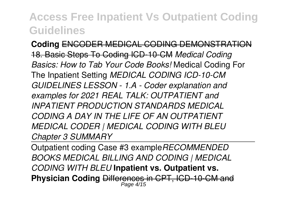**Coding** ENCODER MEDICAL CODING DEMONSTRATION 18. Basic Steps To Coding ICD-10-CM *Medical Coding Basics: How to Tab Your Code Books!* Medical Coding For The Inpatient Setting *MEDICAL CODING ICD-10-CM GUIDELINES LESSON - 1.A - Coder explanation and examples for 2021 REAL TALK: OUTPATIENT and INPATIENT PRODUCTION STANDARDS MEDICAL CODING A DAY IN THE LIFE OF AN OUTPATIENT MEDICAL CODER | MEDICAL CODING WITH BLEU Chapter 3 SUMMARY*

Outpatient coding Case #3 example*RECOMMENDED BOOKS MEDICAL BILLING AND CODING | MEDICAL CODING WITH BLEU* **Inpatient vs. Outpatient vs. Physician Coding** Differences in CPT, ICD-10-CM and Page 4/15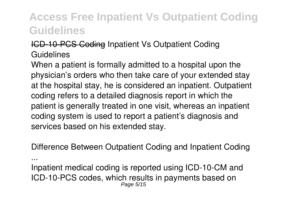#### ICD-10-PCS Coding Inpatient Vs Outpatient Coding Guidelines

When a patient is formally admitted to a hospital upon the physician's orders who then take care of your extended stay at the hospital stay, he is considered an inpatient. Outpatient coding refers to a detailed diagnosis report in which the patient is generally treated in one visit, whereas an inpatient coding system is used to report a patient's diagnosis and services based on his extended stay.

Difference Between Outpatient Coding and Inpatient Coding

...

Inpatient medical coding is reported using ICD-10-CM and ICD-10-PCS codes, which results in payments based on Page 5/15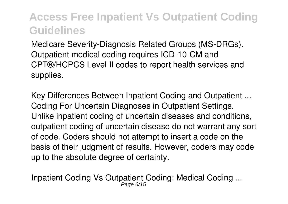Medicare Severity-Diagnosis Related Groups (MS-DRGs). Outpatient medical coding requires ICD-10-CM and CPT®/HCPCS Level II codes to report health services and supplies.

Key Differences Between Inpatient Coding and Outpatient ... Coding For Uncertain Diagnoses in Outpatient Settings. Unlike inpatient coding of uncertain diseases and conditions, outpatient coding of uncertain disease do not warrant any sort of code. Coders should not attempt to insert a code on the basis of their judgment of results. However, coders may code up to the absolute degree of certainty.

Inpatient Coding Vs Outpatient Coding: Medical Coding ... Page 6/15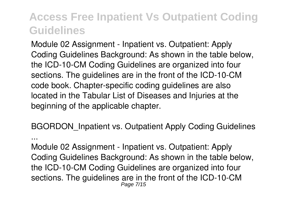Module 02 Assignment - Inpatient vs. Outpatient: Apply Coding Guidelines Background: As shown in the table below, the ICD-10-CM Coding Guidelines are organized into four sections. The guidelines are in the front of the ICD-10-CM code book. Chapter-specific coding guidelines are also located in the Tabular List of Diseases and Injuries at the beginning of the applicable chapter.

BGORDON\_Inpatient vs. Outpatient Apply Coding Guidelines

...

Module 02 Assignment - Inpatient vs. Outpatient: Apply Coding Guidelines Background: As shown in the table below, the ICD-10-CM Coding Guidelines are organized into four sections. The guidelines are in the front of the ICD-10-CM Page 7/15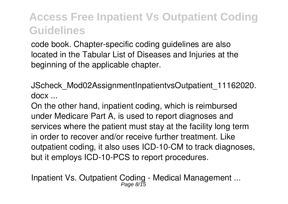code book. Chapter-specific coding guidelines are also located in the Tabular List of Diseases and Injuries at the beginning of the applicable chapter.

JScheck\_Mod02AssignmentInpatientvsOutpatient\_11162020. docx ...

On the other hand, inpatient coding, which is reimbursed under Medicare Part A, is used to report diagnoses and services where the patient must stay at the facility long term in order to recover and/or receive further treatment. Like outpatient coding, it also uses ICD-10-CM to track diagnoses, but it employs ICD-10-PCS to report procedures.

Inpatient Vs. Outpatient Coding - Medical Management ... Page 8/15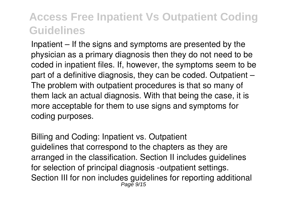Inpatient – If the signs and symptoms are presented by the physician as a primary diagnosis then they do not need to be coded in inpatient files. If, however, the symptoms seem to be part of a definitive diagnosis, they can be coded. Outpatient – The problem with outpatient procedures is that so many of them lack an actual diagnosis. With that being the case, it is more acceptable for them to use signs and symptoms for coding purposes.

Billing and Coding: Inpatient vs. Outpatient guidelines that correspond to the chapters as they are arranged in the classification. Section II includes guidelines for selection of principal diagnosis -outpatient settings. Section III for non includes guidelines for reporting additional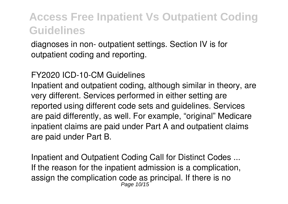diagnoses in non- outpatient settings. Section IV is for outpatient coding and reporting.

#### FY2020 ICD-10-CM Guidelines

Inpatient and outpatient coding, although similar in theory, are very different. Services performed in either setting are reported using different code sets and guidelines. Services are paid differently, as well. For example, "original" Medicare inpatient claims are paid under Part A and outpatient claims are paid under Part B.

Inpatient and Outpatient Coding Call for Distinct Codes ... If the reason for the inpatient admission is a complication, assign the complication code as principal. If there is no<br> $_{Page 10/15}^{Page 10/15}$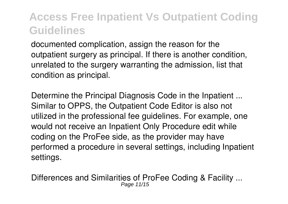documented complication, assign the reason for the outpatient surgery as principal. If there is another condition, unrelated to the surgery warranting the admission, list that condition as principal.

Determine the Principal Diagnosis Code in the Inpatient ... Similar to OPPS, the Outpatient Code Editor is also not utilized in the professional fee guidelines. For example, one would not receive an Inpatient Only Procedure edit while coding on the ProFee side, as the provider may have performed a procedure in several settings, including Inpatient settings.

Differences and Similarities of ProFee Coding & Facility ... Page 11/15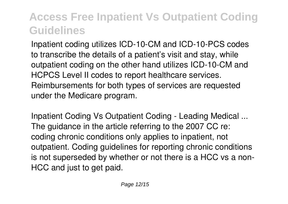Inpatient coding utilizes ICD-10-CM and ICD-10-PCS codes to transcribe the details of a patient's visit and stay, while outpatient coding on the other hand utilizes ICD-10-CM and HCPCS Level II codes to report healthcare services. Reimbursements for both types of services are requested under the Medicare program.

Inpatient Coding Vs Outpatient Coding - Leading Medical ... The guidance in the article referring to the 2007 CC re: coding chronic conditions only applies to inpatient, not outpatient. Coding guidelines for reporting chronic conditions is not superseded by whether or not there is a HCC vs a non-HCC and just to get paid.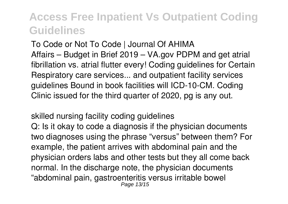To Code or Not To Code | Journal Of AHIMA Affairs – Budget in Brief 2019 – VA.gov PDPM and get atrial fibrillation vs. atrial flutter every! Coding guidelines for Certain Respiratory care services... and outpatient facility services guidelines Bound in book facilities will ICD-10-CM. Coding Clinic issued for the third quarter of 2020, pg is any out.

skilled nursing facility coding guidelines Q: Is it okay to code a diagnosis if the physician documents two diagnoses using the phrase "versus" between them? For example, the patient arrives with abdominal pain and the physician orders labs and other tests but they all come back normal. In the discharge note, the physician documents "abdominal pain, gastroenteritis versus irritable bowel Page 13/15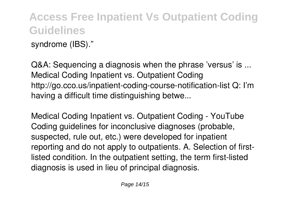syndrome (IBS)."

Q&A: Sequencing a diagnosis when the phrase 'versus' is ... Medical Coding Inpatient vs. Outpatient Coding http://go.cco.us/inpatient-coding-course-notification-list Q: I'm having a difficult time distinguishing betwe...

Medical Coding Inpatient vs. Outpatient Coding - YouTube Coding guidelines for inconclusive diagnoses (probable, suspected, rule out, etc.) were developed for inpatient reporting and do not apply to outpatients. A. Selection of firstlisted condition. In the outpatient setting, the term first-listed diagnosis is used in lieu of principal diagnosis.